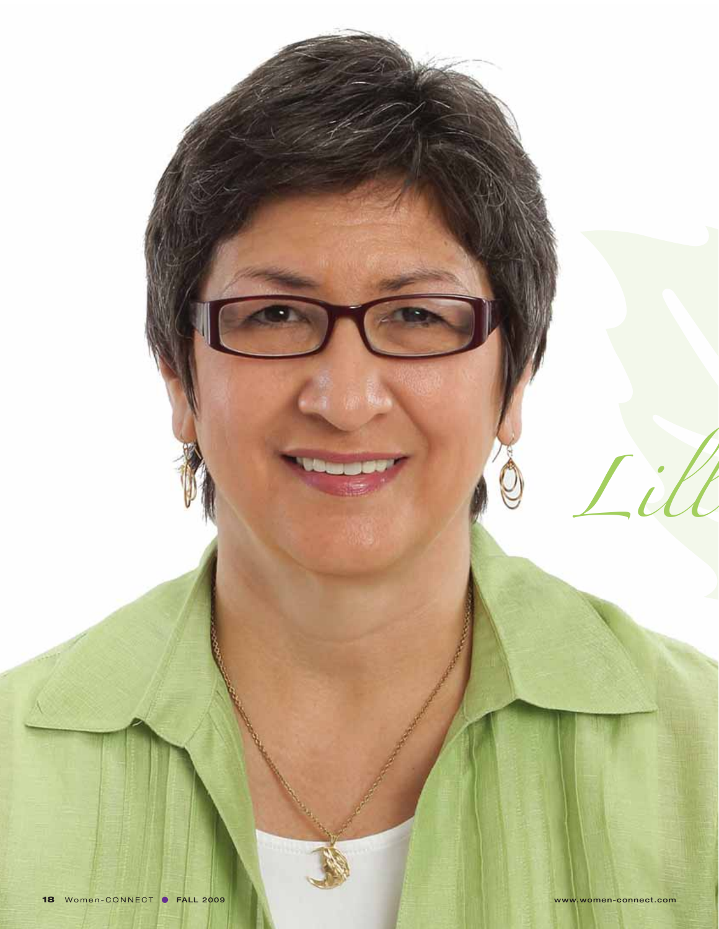

*Lill*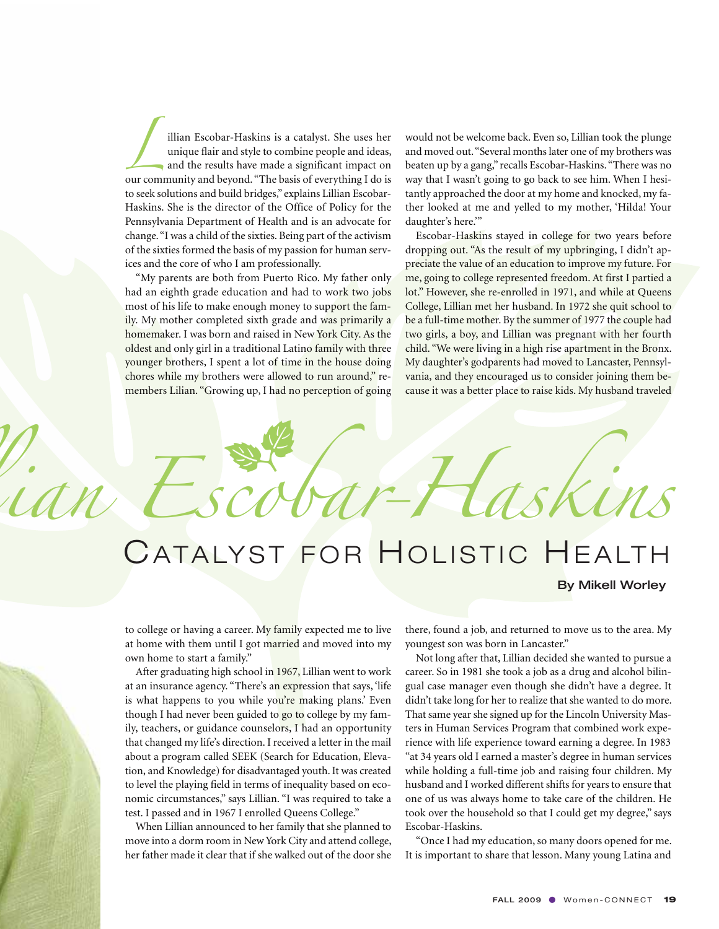illian Escobar-Haskins is a catalyst. She uses her<br>unique flair and style to combine people and ideas,<br>and the results have made a significant impact on unique flair and style to combine people and ideas, and the results have made a significant impact on our community and beyond. "The basis of everything I do is to seek solutions and build bridges," explains Lillian Escobar-Haskins. She is the director of the Office of Policy for the Pennsylvania Department of Health and is an advocate for change. "I was a child of the sixties. Being part of the activism of the sixties formed the basis of my passion for human services and the core of who I am professionally.

"My parents are both from Puerto Rico. My father only had an eighth grade education and had to work two jobs most of his life to make enough money to support the family. My mother completed sixth grade and was primarily a homemaker. I was born and raised in New York City. As the oldest and only girl in a traditional Latino family with three younger brothers, I spent a lot of time in the house doing chores while my brothers were allowed to run around," remembers Lilian. "Growing up, I had no perception of going

would not be welcome back. Even so, Lillian took the plunge and moved out. "Several months later one of my brothers was beaten up by a gang," recalls Escobar-Haskins. "There was no way that I wasn't going to go back to see him. When I hesitantly approached the door at my home and knocked, my father looked at me and yelled to my mother, 'Hilda! Your daughter's here.'"

Escobar-Haskins stayed in college for two years before dropping out. "As the result of my upbringing, I didn't appreciate the value of an education to improve my future. For me, going to college represented freedom. At first I partied a lot." However, she re-enrolled in 1971, and while at Queens College, Lillian met her husband. In 1972 she quit school to be a full-time mother. By the summer of 1977 the couple had two girls, a boy, and Lillian was pregnant with her fourth child. "We were living in a high rise apartment in the Bronx. My daughter's godparents had moved to Lancaster, Pennsylvania, and they encouraged us to consider joining them because it was a better place to raise kids. My husband traveled

## *ll ian Escobar-Haskins* CATALYST FOR HOLISTIC HEALTH 88

## By Mikell Worley

to college or having a career. My family expected me to live at home with them until I got married and moved into my own home to start a family."

After graduating high school in 1967, Lillian went to work at an insurance agency. "There's an expression that says, 'life is what happens to you while you're making plans.' Even though I had never been guided to go to college by my family, teachers, or guidance counselors, I had an opportunity that changed my life's direction. I received a letter in the mail about a program called SEEK (Search for Education, Elevation, and Knowledge) for disadvantaged youth. It was created to level the playing field in terms of inequality based on economic circumstances," says Lillian. "I was required to take a test. I passed and in 1967 I enrolled Queens College."

When Lillian announced to her family that she planned to move into a dorm room in New York City and attend college, her father made it clear that if she walked out of the door she there, found a job, and returned to move us to the area. My youngest son was born in Lancaster."

Not long after that, Lillian decided she wanted to pursue a career. So in 1981 she took a job as a drug and alcohol bilingual case manager even though she didn't have a degree. It didn't take long for her to realize that she wanted to do more. That same year she signed up for the Lincoln University Masters in Human Services Program that combined work experience with life experience toward earning a degree. In 1983 "at 34 years old I earned a master's degree in human services while holding a full-time job and raising four children. My husband and I worked different shifts for years to ensure that one of us was always home to take care of the children. He took over the household so that I could get my degree," says Escobar-Haskins.

"Once I had my education, so many doors opened for me. It is important to share that lesson. Many young Latina and